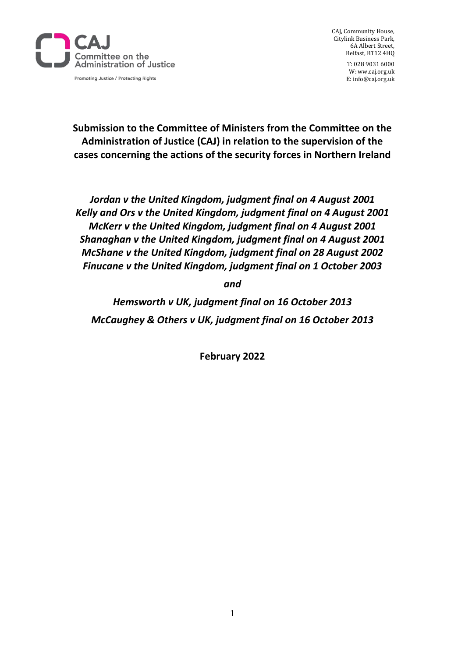

CAJ, Community House, Citylink Business Park, 6A Albert Street, Belfast, BT12 4HQ

> T: 028 9031 6000 W: ww.caj.org.uk E: info@caj.org.uk

**Submission to the Committee of Ministers from the Committee on the Administration of Justice (CAJ) in relation to the supervision of the cases concerning the actions of the security forces in Northern Ireland** 

*Jordan v the United Kingdom, judgment final on 4 August 2001 Kelly and Ors v the United Kingdom, judgment final on 4 August 2001 McKerr v the United Kingdom, judgment final on 4 August 2001 Shanaghan v the United Kingdom, judgment final on 4 August 2001 McShane v the United Kingdom, judgment final on 28 August 2002 Finucane v the United Kingdom, judgment final on 1 October 2003*

*and*

*Hemsworth v UK, judgment final on 16 October 2013 McCaughey & Others v UK, judgment final on 16 October 2013*

**February 2022**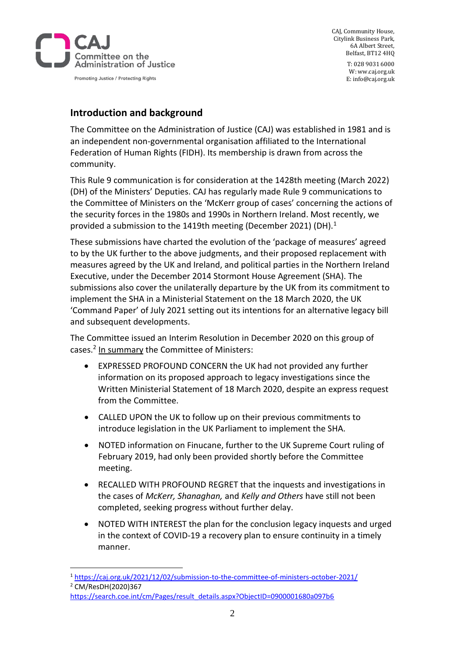

CAJ, Community House, Citylink Business Park, 6A Albert Street, Belfast, BT12 4HQ

> T: 028 9031 6000 W: ww.caj.org.uk E: info@caj.org.uk

# **Introduction and background**

The Committee on the Administration of Justice (CAJ) was established in 1981 and is an independent non-governmental organisation affiliated to the International Federation of Human Rights (FIDH). Its membership is drawn from across the community.

This Rule 9 communication is for consideration at the 1428th meeting (March 2022) (DH) of the Ministers' Deputies. CAJ has regularly made Rule 9 communications to the Committee of Ministers on the 'McKerr group of cases' concerning the actions of the security forces in the 1980s and 1990s in Northern Ireland. Most recently, we provided a submission to the 1419th meeting (December 2021) (DH).<sup>1</sup>

These submissions have charted the evolution of the 'package of measures' agreed to by the UK further to the above judgments, and their proposed replacement with measures agreed by the UK and Ireland, and political parties in the Northern Ireland Executive, under the December 2014 Stormont House Agreement (SHA). The submissions also cover the unilaterally departure by the UK from its commitment to implement the SHA in a Ministerial Statement on the 18 March 2020, the UK 'Command Paper' of July 2021 setting out its intentions for an alternative legacy bill and subsequent developments.

The Committee issued an Interim Resolution in December 2020 on this group of cases.<sup>2</sup> In summary the Committee of Ministers:

- EXPRESSED PROFOUND CONCERN the UK had not provided any further information on its proposed approach to legacy investigations since the Written Ministerial Statement of 18 March 2020, despite an express request from the Committee.
- CALLED UPON the UK to follow up on their previous commitments to introduce legislation in the UK Parliament to implement the SHA.
- NOTED information on Finucane, further to the UK Supreme Court ruling of February 2019, had only been provided shortly before the Committee meeting.
- RECALLED WITH PROFOUND REGRET that the inquests and investigations in the cases of *McKerr, Shanaghan,* and *Kelly and Others* have still not been completed, seeking progress without further delay.
- NOTED WITH INTEREST the plan for the conclusion legacy inquests and urged in the context of COVID-19 a recovery plan to ensure continuity in a timely manner.

<sup>1</sup> <https://caj.org.uk/2021/12/02/submission-to-the-committee-of-ministers-october-2021/> <sup>2</sup> CM/ResDH(2020)367

[https://search.coe.int/cm/Pages/result\\_details.aspx?ObjectID=0900001680a097b6](https://search.coe.int/cm/Pages/result_details.aspx?ObjectID=0900001680a097b6)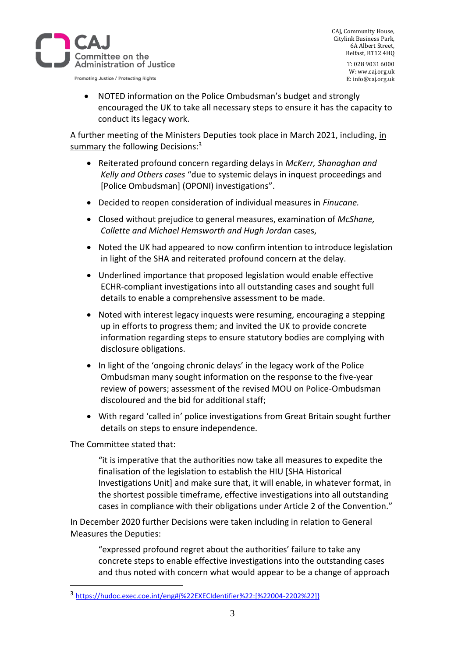

CAJ, Community House, Citylink Business Park, 6A Albert Street, Belfast, BT12 4HQ

> T: 028 9031 6000 W: ww.caj.org.uk E: info@caj.org.uk

• NOTED information on the Police Ombudsman's budget and strongly encouraged the UK to take all necessary steps to ensure it has the capacity to conduct its legacy work.

A further meeting of the Ministers Deputies took place in March 2021, including, in summary the following Decisions:<sup>3</sup>

- Reiterated profound concern regarding delays in *McKerr, Shanaghan and Kelly and Others cases* "due to systemic delays in inquest proceedings and [Police Ombudsman] (OPONI) investigations".
- Decided to reopen consideration of individual measures in *Finucane.*
- Closed without prejudice to general measures, examination of *McShane, Collette and Michael Hemsworth and Hugh Jordan* cases,
- Noted the UK had appeared to now confirm intention to introduce legislation in light of the SHA and reiterated profound concern at the delay.
- Underlined importance that proposed legislation would enable effective ECHR-compliant investigations into all outstanding cases and sought full details to enable a comprehensive assessment to be made.
- Noted with interest legacy inquests were resuming, encouraging a stepping up in efforts to progress them; and invited the UK to provide concrete information regarding steps to ensure statutory bodies are complying with disclosure obligations.
- In light of the 'ongoing chronic delays' in the legacy work of the Police Ombudsman many sought information on the response to the five-year review of powers; assessment of the revised MOU on Police-Ombudsman discoloured and the bid for additional staff;
- With regard 'called in' police investigations from Great Britain sought further details on steps to ensure independence.

The Committee stated that:

"it is imperative that the authorities now take all measures to expedite the finalisation of the legislation to establish the HIU [SHA Historical Investigations Unit] and make sure that, it will enable, in whatever format, in the shortest possible timeframe, effective investigations into all outstanding cases in compliance with their obligations under Article 2 of the Convention."

In December 2020 further Decisions were taken including in relation to General Measures the Deputies:

"expressed profound regret about the authorities' failure to take any concrete steps to enable effective investigations into the outstanding cases and thus noted with concern what would appear to be a change of approach

<sup>3</sup> [https://hudoc.exec.coe.int/eng#{%22EXECIdentifier%22:\[%22004-2202%22\]}](https://hudoc.exec.coe.int/eng#{%22EXECIdentifier%22:[%22004-2202%22]})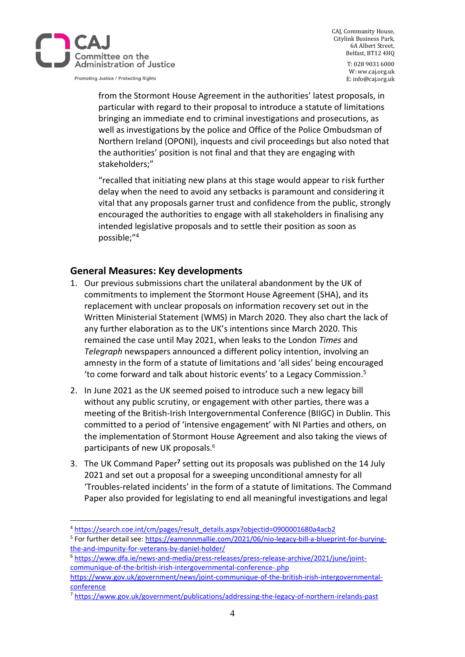

CAJ, Community House, Citylink Business Park, 6A Albert Street, Belfast, BT12 4HQ

T: 028 9031 6000 W: ww.caj.org.uk E: info@caj.org.uk

from the Stormont House Agreement in the authorities' latest proposals, in particular with regard to their proposal to introduce a statute of limitations bringing an immediate end to criminal investigations and prosecutions, as well as investigations by the police and Office of the Police Ombudsman of Northern Ireland (OPONI), inquests and civil proceedings but also noted that the authorities' position is not final and that they are engaging with stakeholders;"

"recalled that initiating new plans at this stage would appear to risk further delay when the need to avoid any setbacks is paramount and considering it vital that any proposals garner trust and confidence from the public, strongly encouraged the authorities to engage with all stakeholders in finalising any intended legislative proposals and to settle their position as soon as possible;"<sup>4</sup>

# **General Measures: Key developments**

- 1. Our previous submissions chart the unilateral abandonment by the UK of commitments to implement the Stormont House Agreement (SHA), and its replacement with unclear proposals on information recovery set out in the Written Ministerial Statement (WMS) in March 2020. They also chart the lack of any further elaboration as to the UK's intentions since March 2020. This remained the case until May 2021, when leaks to the London *Times* and *Telegraph* newspapers announced a different policy intention, involving an amnesty in the form of a statute of limitations and 'all sides' being encouraged 'to come forward and talk about historic events' to a Legacy Commission. 5
- 2. In June 2021 as the UK seemed poised to introduce such a new legacy bill without any public scrutiny, or engagement with other parties, there was a meeting of the British-Irish Intergovernmental Conference (BIIGC) in Dublin. This committed to a period of 'intensive engagement' with NI Parties and others, on the implementation of Stormont House Agreement and also taking the views of participants of new UK proposals. 6
- 3. The UK Command Paper**<sup>7</sup>** setting out its proposals was published on the 14 July 2021 and set out a proposal for a sweeping unconditional amnesty for all 'Troubles-related incidents' in the form of a statute of limitations. The Command Paper also provided for legislating to end all meaningful investigations and legal

<sup>4</sup> [https://search.coe.int/cm/pages/result\\_details.aspx?objectid=0900001680a4acb2](https://search.coe.int/cm/pages/result_details.aspx?objectid=0900001680a4acb2)

<sup>&</sup>lt;sup>5</sup> For further detail see: [https://eamonnmallie.com/2021/06/nio-legacy-bill-a-blueprint-for-burying](https://eamonnmallie.com/2021/06/nio-legacy-bill-a-blueprint-for-burying-the-and-impunity-for-veterans-by-daniel-holder/)[the-and-impunity-for-veterans-by-daniel-holder/](https://eamonnmallie.com/2021/06/nio-legacy-bill-a-blueprint-for-burying-the-and-impunity-for-veterans-by-daniel-holder/) 

<sup>6</sup> [https://www.dfa.ie/news-and-media/press-releases/press-release-archive/2021/june/joint](https://www.dfa.ie/news-and-media/press-releases/press-release-archive/2021/june/joint-communique-of-the-british-irish-intergovernmental-conference-.php)[communique-of-the-british-irish-intergovernmental-conference-.php](https://www.dfa.ie/news-and-media/press-releases/press-release-archive/2021/june/joint-communique-of-the-british-irish-intergovernmental-conference-.php) 

[https://www.gov.uk/government/news/joint-communique-of-the-british-irish-intergovernmental](https://www.gov.uk/government/news/joint-communique-of-the-british-irish-intergovernmental-conference)[conference](https://www.gov.uk/government/news/joint-communique-of-the-british-irish-intergovernmental-conference)

<sup>7</sup> <https://www.gov.uk/government/publications/addressing-the-legacy-of-northern-irelands-past>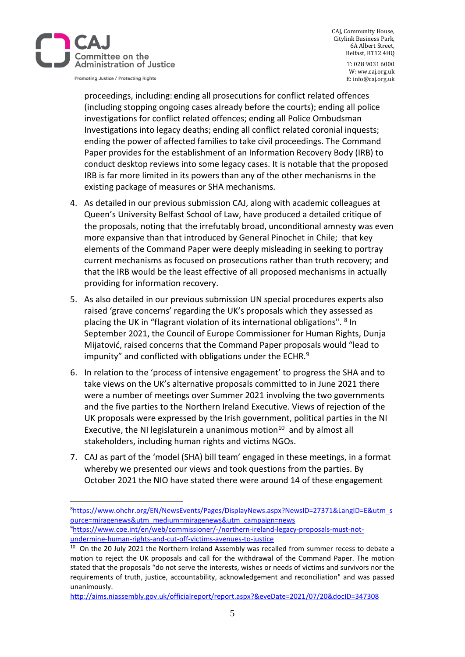

CAJ, Community House, Citylink Business Park, 6A Albert Street, Belfast, BT12 4HQ

> T: 028 9031 6000 W: ww.caj.org.uk E: info@caj.org.uk

proceedings, including: **e**nding all prosecutions for conflict related offences (including stopping ongoing cases already before the courts); ending all police investigations for conflict related offences; ending all Police Ombudsman Investigations into legacy deaths; ending all conflict related coronial inquests; ending the power of affected families to take civil proceedings. The Command Paper provides for the establishment of an Information Recovery Body (IRB) to conduct desktop reviews into some legacy cases. It is notable that the proposed IRB is far more limited in its powers than any of the other mechanisms in the existing package of measures or SHA mechanisms.

- 4. As detailed in our previous submission CAJ, along with academic colleagues at Queen's University Belfast School of Law, have produced a detailed critique of the proposals, noting that the irrefutably broad, unconditional amnesty was even more expansive than that introduced by General Pinochet in Chile; that key elements of the Command Paper were deeply misleading in seeking to portray current mechanisms as focused on prosecutions rather than truth recovery; and that the IRB would be the least effective of all proposed mechanisms in actually providing for information recovery.
- 5. As also detailed in our previous submission UN special procedures experts also raised 'grave concerns' regarding the UK's proposals which they assessed as placing the UK in "flagrant violation of its international obligations". <sup>8</sup> In September 2021, the Council of Europe Commissioner for Human Rights, Dunja Mijatović, raised concerns that the Command Paper proposals would "lead to impunity" and conflicted with obligations under the ECHR. $9$
- 6. In relation to the 'process of intensive engagement' to progress the SHA and to take views on the UK's alternative proposals committed to in June 2021 there were a number of meetings over Summer 2021 involving the two governments and the five parties to the Northern Ireland Executive. Views of rejection of the UK proposals were expressed by the Irish government, political parties in the NI Executive, the NI legislaturein a unanimous motion $10$  and by almost all stakeholders, including human rights and victims NGOs.
- 7. CAJ as part of the 'model (SHA) bill team' engaged in these meetings, in a format whereby we presented our views and took questions from the parties. By October 2021 the NIO have stated there were around 14 of these engagement

<sup>8</sup>[https://www.ohchr.org/EN/NewsEvents/Pages/DisplayNews.aspx?NewsID=27371&LangID=E&utm\\_s](https://www.ohchr.org/EN/NewsEvents/Pages/DisplayNews.aspx?NewsID=27371&LangID=E&utm_source=miragenews&utm_medium=miragenews&utm_campaign=news) [ource=miragenews&utm\\_medium=miragenews&utm\\_campaign=news](https://www.ohchr.org/EN/NewsEvents/Pages/DisplayNews.aspx?NewsID=27371&LangID=E&utm_source=miragenews&utm_medium=miragenews&utm_campaign=news) 9[https://www.coe.int/en/web/commissioner/-/northern-ireland-legacy-proposals-must-not](https://www.coe.int/en/web/commissioner/-/northern-ireland-legacy-proposals-must-not-undermine-human-rights-and-cut-off-victims-avenues-to-justice)[undermine-human-rights-and-cut-off-victims-avenues-to-justice](https://www.coe.int/en/web/commissioner/-/northern-ireland-legacy-proposals-must-not-undermine-human-rights-and-cut-off-victims-avenues-to-justice)

<sup>&</sup>lt;sup>10</sup> On the 20 July 2021 the Northern Ireland Assembly was recalled from summer recess to debate a motion to reject the UK proposals and call for the withdrawal of the Command Paper. The motion stated that the proposals "do not serve the interests, wishes or needs of victims and survivors nor the requirements of truth, justice, accountability, acknowledgement and reconciliation" and was passed unanimously.

<http://aims.niassembly.gov.uk/officialreport/report.aspx?&eveDate=2021/07/20&docID=347308>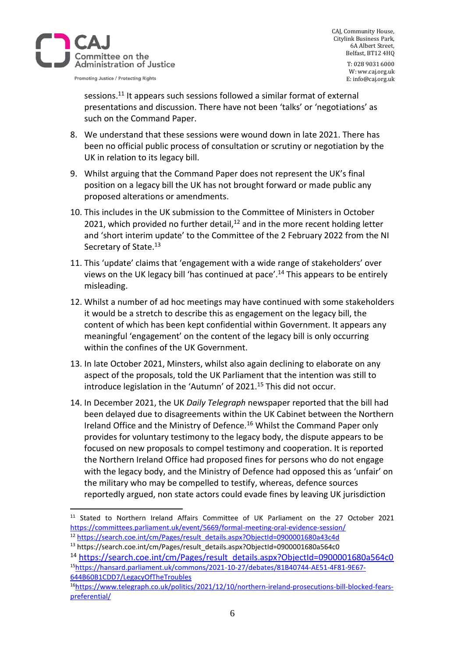

CAJ, Community House, Citylink Business Park, 6A Albert Street, Belfast, BT12 4HQ

> T: 028 9031 6000 W: ww.caj.org.uk E: info@caj.org.uk

sessions.<sup>11</sup> It appears such sessions followed a similar format of external presentations and discussion. There have not been 'talks' or 'negotiations' as such on the Command Paper.

- 8. We understand that these sessions were wound down in late 2021. There has been no official public process of consultation or scrutiny or negotiation by the UK in relation to its legacy bill.
- 9. Whilst arguing that the Command Paper does not represent the UK's final position on a legacy bill the UK has not brought forward or made public any proposed alterations or amendments.
- 10. This includes in the UK submission to the Committee of Ministers in October 2021, which provided no further detail, $12$  and in the more recent holding letter and 'short interim update' to the Committee of the 2 February 2022 from the NI Secretary of State.<sup>13</sup>
- 11. This 'update' claims that 'engagement with a wide range of stakeholders' over views on the UK legacy bill 'has continued at pace'.<sup>14</sup> This appears to be entirely misleading.
- 12. Whilst a number of ad hoc meetings may have continued with some stakeholders it would be a stretch to describe this as engagement on the legacy bill, the content of which has been kept confidential within Government. It appears any meaningful 'engagement' on the content of the legacy bill is only occurring within the confines of the UK Government.
- 13. In late October 2021, Minsters, whilst also again declining to elaborate on any aspect of the proposals, told the UK Parliament that the intention was still to introduce legislation in the 'Autumn' of 2021.<sup>15</sup> This did not occur.
- 14. In December 2021, the UK *Daily Telegraph* newspaper reported that the bill had been delayed due to disagreements within the UK Cabinet between the Northern Ireland Office and the Ministry of Defence.<sup>16</sup> Whilst the Command Paper only provides for voluntary testimony to the legacy body, the dispute appears to be focused on new proposals to compel testimony and cooperation. It is reported the Northern Ireland Office had proposed fines for persons who do not engage with the legacy body, and the Ministry of Defence had opposed this as 'unfair' on the military who may be compelled to testify, whereas, defence sources reportedly argued, non state actors could evade fines by leaving UK jurisdiction

<sup>&</sup>lt;sup>11</sup> Stated to Northern Ireland Affairs Committee of UK Parliament on the 27 October 2021 <https://committees.parliament.uk/event/5669/formal-meeting-oral-evidence-session/>

<sup>12</sup> [https://search.coe.int/cm/Pages/result\\_details.aspx?ObjectId=0900001680a43c4d](https://search.coe.int/cm/Pages/result_details.aspx?ObjectId=0900001680a43c4d)

<sup>13</sup> https://search.coe.int/cm/Pages/result\_details.aspx?ObjectId=0900001680a564c0

<sup>14</sup> [https://search.coe.int/cm/Pages/result\\_details.aspx?ObjectId=0900001680a564c0](https://search.coe.int/cm/Pages/result_details.aspx?ObjectId=0900001680a564c0) <sup>15</sup>[https://hansard.parliament.uk/commons/2021-10-27/debates/81B40744-AE51-4F81-9E67-](https://hansard.parliament.uk/commons/2021-10-27/debates/81B40744-AE51-4F81-9E67-644B60B1CDD7/LegacyOfTheTroubles) [644B60B1CDD7/LegacyOfTheTroubles](https://hansard.parliament.uk/commons/2021-10-27/debates/81B40744-AE51-4F81-9E67-644B60B1CDD7/LegacyOfTheTroubles)

<sup>16</sup>[https://www.telegraph.co.uk/politics/2021/12/10/northern-ireland-prosecutions-bill-blocked-fears](https://www.telegraph.co.uk/politics/2021/12/10/northern-ireland-prosecutions-bill-blocked-fears-preferential/)[preferential/](https://www.telegraph.co.uk/politics/2021/12/10/northern-ireland-prosecutions-bill-blocked-fears-preferential/)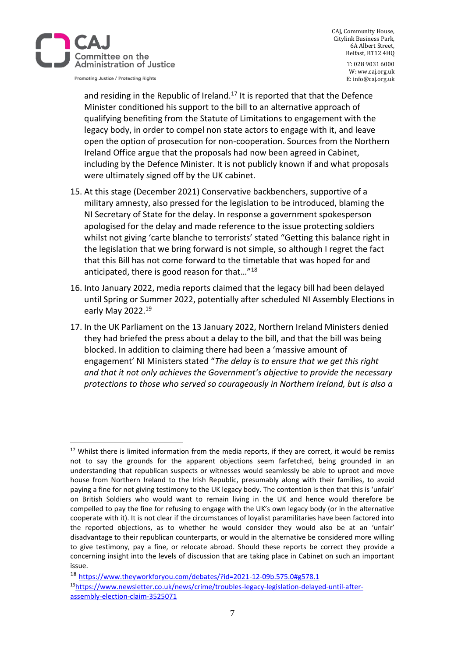

CAJ, Community House, Citylink Business Park, 6A Albert Street, Belfast, BT12 4HQ

> T: 028 9031 6000 W: ww.caj.org.uk E: info@caj.org.uk

and residing in the Republic of Ireland.<sup>17</sup> It is reported that that the Defence Minister conditioned his support to the bill to an alternative approach of qualifying benefiting from the Statute of Limitations to engagement with the legacy body, in order to compel non state actors to engage with it, and leave open the option of prosecution for non-cooperation. Sources from the Northern Ireland Office argue that the proposals had now been agreed in Cabinet, including by the Defence Minister. It is not publicly known if and what proposals were ultimately signed off by the UK cabinet.

- 15. At this stage (December 2021) Conservative backbenchers, supportive of a military amnesty, also pressed for the legislation to be introduced, blaming the NI Secretary of State for the delay. In response a government spokesperson apologised for the delay and made reference to the issue protecting soldiers whilst not giving 'carte blanche to terrorists' stated "Getting this balance right in the legislation that we bring forward is not simple, so although I regret the fact that this Bill has not come forward to the timetable that was hoped for and anticipated, there is good reason for that…"<sup>18</sup>
- 16. Into January 2022, media reports claimed that the legacy bill had been delayed until Spring or Summer 2022, potentially after scheduled NI Assembly Elections in early May 2022.<sup>19</sup>
- 17. In the UK Parliament on the 13 January 2022, Northern Ireland Ministers denied they had briefed the press about a delay to the bill, and that the bill was being blocked. In addition to claiming there had been a 'massive amount of engagement' NI Ministers stated "*The delay is to ensure that we get this right and that it not only achieves the Government's objective to provide the necessary protections to those who served so courageously in Northern Ireland, but is also a*

<sup>&</sup>lt;sup>17</sup> Whilst there is limited information from the media reports, if they are correct, it would be remiss not to say the grounds for the apparent objections seem farfetched, being grounded in an understanding that republican suspects or witnesses would seamlessly be able to uproot and move house from Northern Ireland to the Irish Republic, presumably along with their families, to avoid paying a fine for not giving testimony to the UK legacy body. The contention is then that this is 'unfair' on British Soldiers who would want to remain living in the UK and hence would therefore be compelled to pay the fine for refusing to engage with the UK's own legacy body (or in the alternative cooperate with it). It is not clear if the circumstances of loyalist paramilitaries have been factored into the reported objections, as to whether he would consider they would also be at an 'unfair' disadvantage to their republican counterparts, or would in the alternative be considered more willing to give testimony, pay a fine, or relocate abroad. Should these reports be correct they provide a concerning insight into the levels of discussion that are taking place in Cabinet on such an important issue.

<sup>18</sup> <https://www.theyworkforyou.com/debates/?id=2021-12-09b.575.0#g578.1> 19[https://www.newsletter.co.uk/news/crime/troubles-legacy-legislation-delayed-until-after](https://www.newsletter.co.uk/news/crime/troubles-legacy-legislation-delayed-until-after-assembly-election-claim-3525071)[assembly-election-claim-3525071](https://www.newsletter.co.uk/news/crime/troubles-legacy-legislation-delayed-until-after-assembly-election-claim-3525071)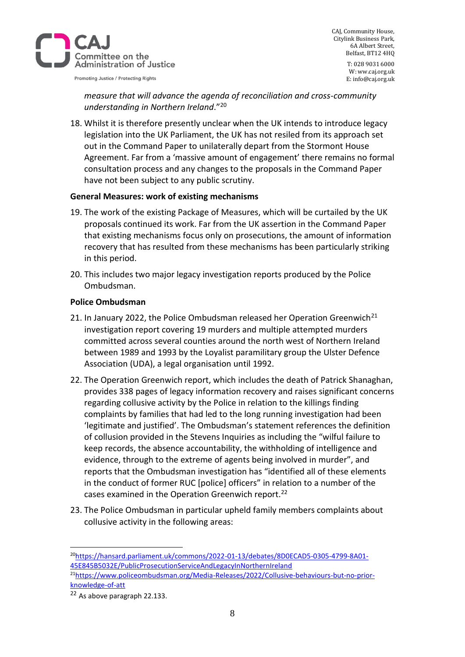

CAJ, Community House, Citylink Business Park, 6A Albert Street, Belfast, BT12 4HQ T: 028 9031 6000 W: ww.caj.org.uk

E: info@caj.org.uk

*measure that will advance the agenda of reconciliation and cross-community understanding in Northern Ireland*."<sup>20</sup>

18. Whilst it is therefore presently unclear when the UK intends to introduce legacy legislation into the UK Parliament, the UK has not resiled from its approach set out in the Command Paper to unilaterally depart from the Stormont House Agreement. Far from a 'massive amount of engagement' there remains no formal consultation process and any changes to the proposals in the Command Paper have not been subject to any public scrutiny.

#### **General Measures: work of existing mechanisms**

- 19. The work of the existing Package of Measures, which will be curtailed by the UK proposals continued its work. Far from the UK assertion in the Command Paper that existing mechanisms focus only on prosecutions, the amount of information recovery that has resulted from these mechanisms has been particularly striking in this period.
- 20. This includes two major legacy investigation reports produced by the Police Ombudsman.

#### **Police Ombudsman**

- 21. In January 2022, the Police Ombudsman released her Operation Greenwich<sup>21</sup> investigation report covering 19 murders and multiple attempted murders committed across several counties around the north west of Northern Ireland between 1989 and 1993 by the Loyalist paramilitary group the Ulster Defence Association (UDA), a legal organisation until 1992.
- 22. The Operation Greenwich report, which includes the death of Patrick Shanaghan, provides 338 pages of legacy information recovery and raises significant concerns regarding collusive activity by the Police in relation to the killings finding complaints by families that had led to the long running investigation had been 'legitimate and justified'. The Ombudsman's statement references the definition of collusion provided in the Stevens Inquiries as including the "wilful failure to keep records, the absence accountability, the withholding of intelligence and evidence, through to the extreme of agents being involved in murder", and reports that the Ombudsman investigation has "identified all of these elements in the conduct of former RUC [police] officers" in relation to a number of the cases examined in the Operation Greenwich report.<sup>22</sup>
- 23. The Police Ombudsman in particular upheld family members complaints about collusive activity in the following areas:

21[https://www.policeombudsman.org/Media-Releases/2022/Collusive-behaviours-but-no-prior](https://www.policeombudsman.org/Media-Releases/2022/Collusive-behaviours-but-no-prior-knowledge-of-att)[knowledge-of-att](https://www.policeombudsman.org/Media-Releases/2022/Collusive-behaviours-but-no-prior-knowledge-of-att)

<sup>20</sup>[https://hansard.parliament.uk/commons/2022-01-13/debates/8D0ECAD5-0305-4799-8A01-](https://hansard.parliament.uk/commons/2022-01-13/debates/8D0ECAD5-0305-4799-8A01-45E845B5032E/PublicProsecutionServiceAndLegacyInNorthernIreland) [45E845B5032E/PublicProsecutionServiceAndLegacyInNorthernIreland](https://hansard.parliament.uk/commons/2022-01-13/debates/8D0ECAD5-0305-4799-8A01-45E845B5032E/PublicProsecutionServiceAndLegacyInNorthernIreland)

<sup>22</sup> As above paragraph 22.133.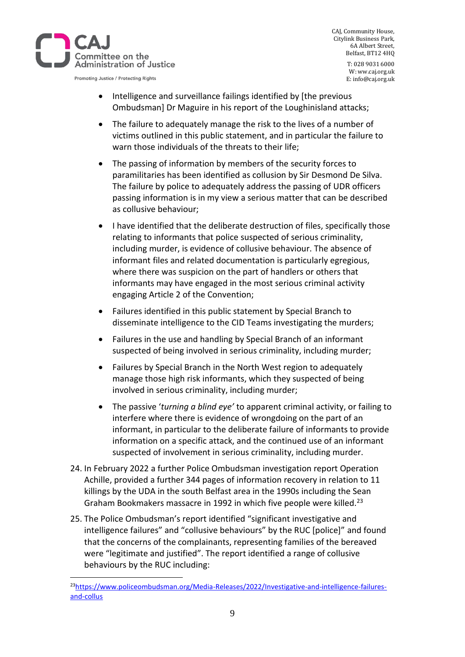

CAJ, Community House, Citylink Business Park, 6A Albert Street, Belfast, BT12 4HQ

> T: 028 9031 6000 W: ww.caj.org.uk E: info@caj.org.uk

- Intelligence and surveillance failings identified by [the previous Ombudsman] Dr Maguire in his report of the Loughinisland attacks;
- The failure to adequately manage the risk to the lives of a number of victims outlined in this public statement, and in particular the failure to warn those individuals of the threats to their life;
- The passing of information by members of the security forces to paramilitaries has been identified as collusion by Sir Desmond De Silva. The failure by police to adequately address the passing of UDR officers passing information is in my view a serious matter that can be described as collusive behaviour;
- I have identified that the deliberate destruction of files, specifically those relating to informants that police suspected of serious criminality, including murder, is evidence of collusive behaviour. The absence of informant files and related documentation is particularly egregious, where there was suspicion on the part of handlers or others that informants may have engaged in the most serious criminal activity engaging Article 2 of the Convention;
- Failures identified in this public statement by Special Branch to disseminate intelligence to the CID Teams investigating the murders;
- Failures in the use and handling by Special Branch of an informant suspected of being involved in serious criminality, including murder;
- Failures by Special Branch in the North West region to adequately manage those high risk informants, which they suspected of being involved in serious criminality, including murder;
- The passive '*turning a blind eye'* to apparent criminal activity, or failing to interfere where there is evidence of wrongdoing on the part of an informant, in particular to the deliberate failure of informants to provide information on a specific attack, and the continued use of an informant suspected of involvement in serious criminality, including murder.
- 24. In February 2022 a further Police Ombudsman investigation report Operation Achille, provided a further 344 pages of information recovery in relation to 11 killings by the UDA in the south Belfast area in the 1990s including the Sean Graham Bookmakers massacre in 1992 in which five people were killed.<sup>23</sup>
- 25. The Police Ombudsman's report identified "significant investigative and intelligence failures" and "collusive behaviours" by the RUC [police]" and found that the concerns of the complainants, representing families of the bereaved were "legitimate and justified". The report identified a range of collusive behaviours by the RUC including:

<sup>&</sup>lt;sup>23</sup>[https://www.policeombudsman.org/Media-Releases/2022/Investigative-and-intelligence-failures](https://www.policeombudsman.org/Media-Releases/2022/Investigative-and-intelligence-failures-and-collus)[and-collus](https://www.policeombudsman.org/Media-Releases/2022/Investigative-and-intelligence-failures-and-collus)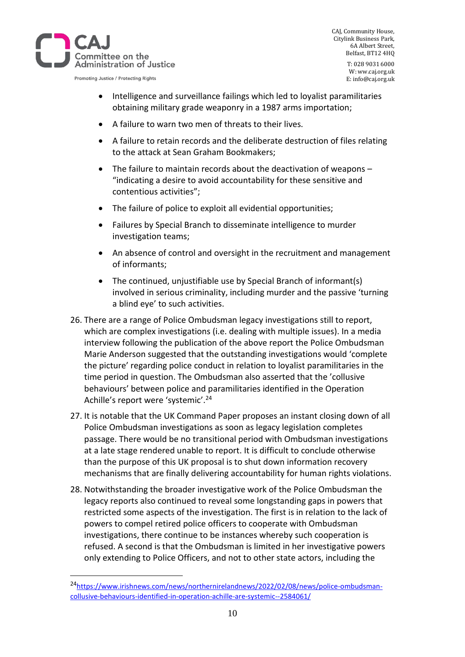

CAJ, Community House, Citylink Business Park, 6A Albert Street, Belfast, BT12 4HQ

> T: 028 9031 6000 W: ww.caj.org.uk E: info@caj.org.uk

- Intelligence and surveillance failings which led to loyalist paramilitaries obtaining military grade weaponry in a 1987 arms importation;
- A failure to warn two men of threats to their lives.
- A failure to retain records and the deliberate destruction of files relating to the attack at Sean Graham Bookmakers;
- The failure to maintain records about the deactivation of weapons "indicating a desire to avoid accountability for these sensitive and contentious activities";
- The failure of police to exploit all evidential opportunities;
- Failures by Special Branch to disseminate intelligence to murder investigation teams;
- An absence of control and oversight in the recruitment and management of informants;
- The continued, unjustifiable use by Special Branch of informant(s) involved in serious criminality, including murder and the passive 'turning a blind eye' to such activities.
- 26. There are a range of Police Ombudsman legacy investigations still to report, which are complex investigations (i.e. dealing with multiple issues). In a media interview following the publication of the above report the Police Ombudsman Marie Anderson suggested that the outstanding investigations would 'complete the picture' regarding police conduct in relation to loyalist paramilitaries in the time period in question. The Ombudsman also asserted that the 'collusive behaviours' between police and paramilitaries identified in the Operation Achille's report were 'systemic'.<sup>24</sup>
- 27. It is notable that the UK Command Paper proposes an instant closing down of all Police Ombudsman investigations as soon as legacy legislation completes passage. There would be no transitional period with Ombudsman investigations at a late stage rendered unable to report. It is difficult to conclude otherwise than the purpose of this UK proposal is to shut down information recovery mechanisms that are finally delivering accountability for human rights violations.
- 28. Notwithstanding the broader investigative work of the Police Ombudsman the legacy reports also continued to reveal some longstanding gaps in powers that restricted some aspects of the investigation. The first is in relation to the lack of powers to compel retired police officers to cooperate with Ombudsman investigations, there continue to be instances whereby such cooperation is refused. A second is that the Ombudsman is limited in her investigative powers only extending to Police Officers, and not to other state actors, including the

<sup>24</sup>[https://www.irishnews.com/news/northernirelandnews/2022/02/08/news/police-ombudsman](https://www.irishnews.com/news/northernirelandnews/2022/02/08/news/police-ombudsman-collusive-behaviours-identified-in-operation-achille-are-systemic--2584061/)[collusive-behaviours-identified-in-operation-achille-are-systemic--2584061/](https://www.irishnews.com/news/northernirelandnews/2022/02/08/news/police-ombudsman-collusive-behaviours-identified-in-operation-achille-are-systemic--2584061/)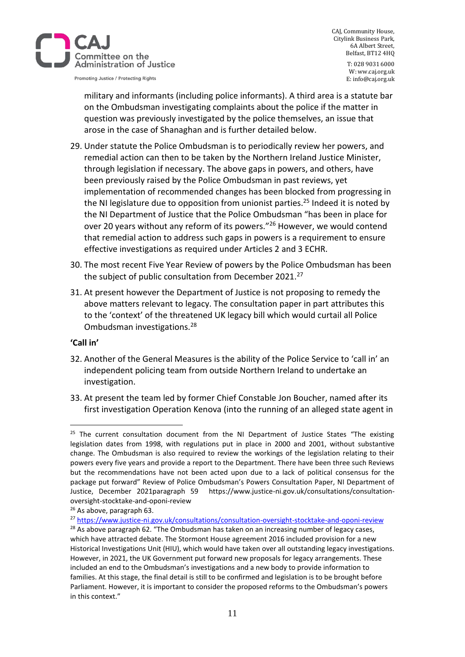

CAJ, Community House, Citylink Business Park, 6A Albert Street, Belfast, BT12 4HQ

> T: 028 9031 6000 W: ww.caj.org.uk E: info@caj.org.uk

military and informants (including police informants). A third area is a statute bar on the Ombudsman investigating complaints about the police if the matter in question was previously investigated by the police themselves, an issue that arose in the case of Shanaghan and is further detailed below.

- 29. Under statute the Police Ombudsman is to periodically review her powers, and remedial action can then to be taken by the Northern Ireland Justice Minister, through legislation if necessary. The above gaps in powers, and others, have been previously raised by the Police Ombudsman in past reviews, yet implementation of recommended changes has been blocked from progressing in the NI legislature due to opposition from unionist parties.<sup>25</sup> Indeed it is noted by the NI Department of Justice that the Police Ombudsman "has been in place for over 20 years without any reform of its powers."<sup>26</sup> However, we would contend that remedial action to address such gaps in powers is a requirement to ensure effective investigations as required under Articles 2 and 3 ECHR.
- 30. The most recent Five Year Review of powers by the Police Ombudsman has been the subject of public consultation from December 2021.<sup>27</sup>
- 31. At present however the Department of Justice is not proposing to remedy the above matters relevant to legacy. The consultation paper in part attributes this to the 'context' of the threatened UK legacy bill which would curtail all Police Ombudsman investigations.<sup>28</sup>

#### **'Call in'**

- 32. Another of the General Measures is the ability of the Police Service to 'call in' an independent policing team from outside Northern Ireland to undertake an investigation.
- 33. At present the team led by former Chief Constable Jon Boucher, named after its first investigation Operation Kenova (into the running of an alleged state agent in

 $25$  The current consultation document from the NI Department of Justice States "The existing legislation dates from 1998, with regulations put in place in 2000 and 2001, without substantive change. The Ombudsman is also required to review the workings of the legislation relating to their powers every five years and provide a report to the Department. There have been three such Reviews but the recommendations have not been acted upon due to a lack of political consensus for the package put forward" Review of Police Ombudsman's Powers Consultation Paper, NI Department of Justice, December 2021paragraph 59 https://www.justice-ni.gov.uk/consultations/consultationoversight-stocktake-and-oponi-review

<sup>26</sup> As above, paragraph 63.

<sup>27</sup> <https://www.justice-ni.gov.uk/consultations/consultation-oversight-stocktake-and-oponi-review>

 $28$  As above paragraph 62. "The Ombudsman has taken on an increasing number of legacy cases, which have attracted debate. The Stormont House agreement 2016 included provision for a new Historical Investigations Unit (HIU), which would have taken over all outstanding legacy investigations. However, in 2021, the UK Government put forward new proposals for legacy arrangements. These included an end to the Ombudsman's investigations and a new body to provide information to families. At this stage, the final detail is still to be confirmed and legislation is to be brought before Parliament. However, it is important to consider the proposed reforms to the Ombudsman's powers in this context."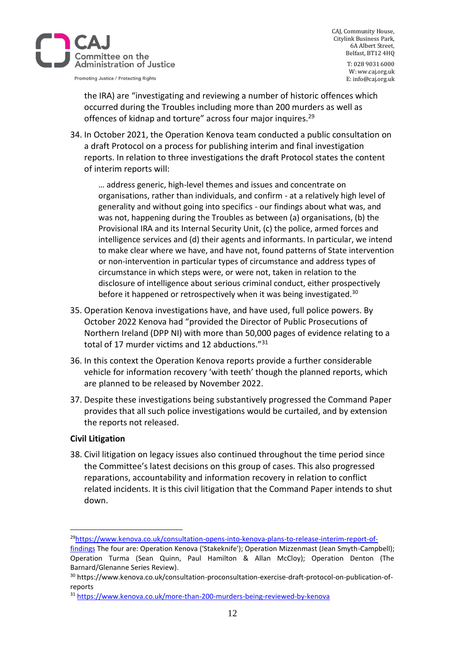

CAJ, Community House, Citylink Business Park, 6A Albert Street, Belfast, BT12 4HQ

> T: 028 9031 6000 W: ww.caj.org.uk E: info@caj.org.uk

the IRA) are "investigating and reviewing a number of historic offences which occurred during the Troubles including more than 200 murders as well as offences of kidnap and torture" across four major inquires.<sup>29</sup>

34. In October 2021, the Operation Kenova team conducted a public consultation on a draft Protocol on a process for publishing interim and final investigation reports. In relation to three investigations the draft Protocol states the content of interim reports will:

… address generic, high-level themes and issues and concentrate on organisations, rather than individuals, and confirm - at a relatively high level of generality and without going into specifics - our findings about what was, and was not, happening during the Troubles as between (a) organisations, (b) the Provisional IRA and its Internal Security Unit, (c) the police, armed forces and intelligence services and (d) their agents and informants. In particular, we intend to make clear where we have, and have not, found patterns of State intervention or non-intervention in particular types of circumstance and address types of circumstance in which steps were, or were not, taken in relation to the disclosure of intelligence about serious criminal conduct, either prospectively before it happened or retrospectively when it was being investigated.<sup>30</sup>

- 35. Operation Kenova investigations have, and have used, full police powers. By October 2022 Kenova had "provided the Director of Public Prosecutions of Northern Ireland (DPP NI) with more than 50,000 pages of evidence relating to a total of 17 murder victims and 12 abductions."<sup>31</sup>
- 36. In this context the Operation Kenova reports provide a further considerable vehicle for information recovery 'with teeth' though the planned reports, which are planned to be released by November 2022.
- 37. Despite these investigations being substantively progressed the Command Paper provides that all such police investigations would be curtailed, and by extension the reports not released.

# **Civil Litigation**

38. Civil litigation on legacy issues also continued throughout the time period since the Committee's latest decisions on this group of cases. This also progressed reparations, accountability and information recovery in relation to conflict related incidents. It is this civil litigation that the Command Paper intends to shut down.

<sup>29</sup>[https://www.kenova.co.uk/consultation-opens-into-kenova-plans-to-release-interim-report-of-](https://www.kenova.co.uk/consultation-opens-into-kenova-plans-to-release-interim-report-of-findings)

[findings](https://www.kenova.co.uk/consultation-opens-into-kenova-plans-to-release-interim-report-of-findings) The four are: Operation Kenova ('Stakeknife'); Operation Mizzenmast (Jean Smyth-Campbell); Operation Turma (Sean Quinn, Paul Hamilton & Allan McCloy); Operation Denton (The Barnard/Glenanne Series Review).

<sup>30</sup> https://www.kenova.co.uk/consultation-proconsultation-exercise-draft-protocol-on-publication-ofreports

<sup>31</sup> <https://www.kenova.co.uk/more-than-200-murders-being-reviewed-by-kenova>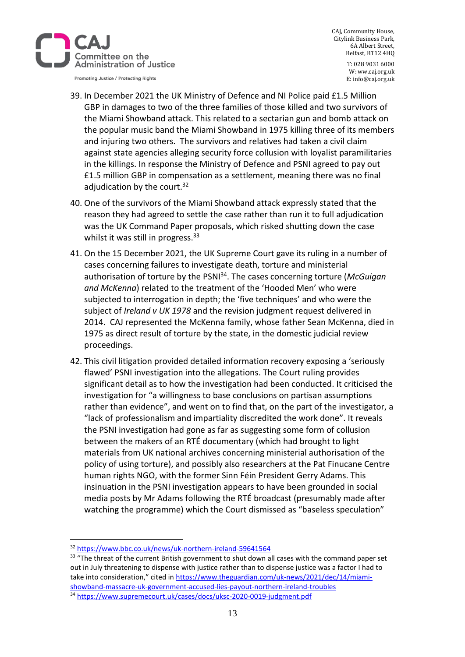

CAJ, Community House, Citylink Business Park, 6A Albert Street, Belfast, BT12 4HQ

Promoting Justice / Protecting Rights

T: 028 9031 6000 W: ww.caj.org.uk E: info@caj.org.uk

- 39. In December 2021 the UK Ministry of Defence and NI Police paid £1.5 Million GBP in damages to two of the three families of those killed and two survivors of the Miami Showband attack. This related to a sectarian gun and bomb attack on the popular music band the Miami Showband in 1975 killing three of its members and injuring two others. The survivors and relatives had taken a civil claim against state agencies alleging security force collusion with loyalist paramilitaries in the killings. In response the Ministry of Defence and PSNI agreed to pay out £1.5 million GBP in compensation as a settlement, meaning there was no final adjudication by the court. $32$
- 40. One of the survivors of the Miami Showband attack expressly stated that the reason they had agreed to settle the case rather than run it to full adjudication was the UK Command Paper proposals, which risked shutting down the case whilst it was still in progress.<sup>33</sup>
- 41. On the 15 December 2021, the UK Supreme Court gave its ruling in a number of cases concerning failures to investigate death, torture and ministerial authorisation of torture by the PSNI<sup>34</sup>. The cases concerning torture (*McGuigan and McKenna*) related to the treatment of the 'Hooded Men' who were subjected to interrogation in depth; the 'five techniques' and who were the subject of *Ireland v UK 1978* and the revision judgment request delivered in 2014. CAJ represented the McKenna family, whose father Sean McKenna, died in 1975 as direct result of torture by the state, in the domestic judicial review proceedings.
- 42. This civil litigation provided detailed information recovery exposing a 'seriously flawed' PSNI investigation into the allegations. The Court ruling provides significant detail as to how the investigation had been conducted. It criticised the investigation for "a willingness to base conclusions on partisan assumptions rather than evidence", and went on to find that, on the part of the investigator, a "lack of professionalism and impartiality discredited the work done". It reveals the PSNI investigation had gone as far as suggesting some form of collusion between the makers of an RTÉ documentary (which had brought to light materials from UK national archives concerning ministerial authorisation of the policy of using torture), and possibly also researchers at the Pat Finucane Centre human rights NGO, with the former Sinn Féin President Gerry Adams. This insinuation in the PSNI investigation appears to have been grounded in social media posts by Mr Adams following the RTÉ broadcast (presumably made after watching the programme) which the Court dismissed as "baseless speculation"

<sup>34</sup> <https://www.supremecourt.uk/cases/docs/uksc-2020-0019-judgment.pdf>

<sup>32</sup> <https://www.bbc.co.uk/news/uk-northern-ireland-59641564>

<sup>&</sup>lt;sup>33</sup> "The threat of the current British government to shut down all cases with the command paper set out in July threatening to dispense with justice rather than to dispense justice was a factor I had to take into consideration," cited in [https://www.theguardian.com/uk-news/2021/dec/14/miami](https://www.theguardian.com/uk-news/2021/dec/14/miami-showband-massacre-uk-government-accused-lies-payout-northern-ireland-troubles)[showband-massacre-uk-government-accused-lies-payout-northern-ireland-troubles](https://www.theguardian.com/uk-news/2021/dec/14/miami-showband-massacre-uk-government-accused-lies-payout-northern-ireland-troubles)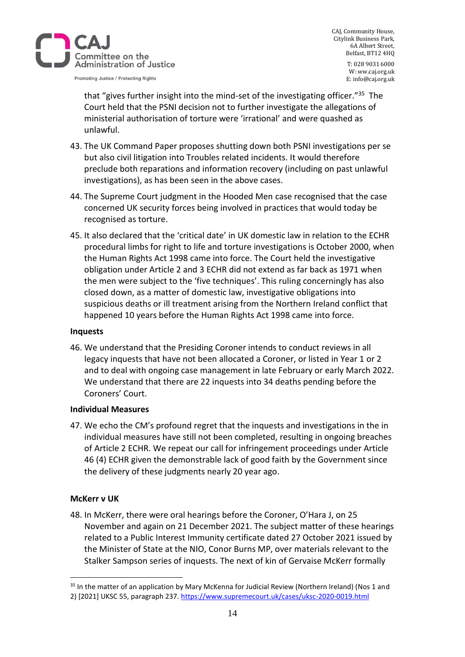

CAJ, Community House, Citylink Business Park, 6A Albert Street, Belfast, BT12 4HQ

> T: 028 9031 6000 W: ww.caj.org.uk E: info@caj.org.uk

that "gives further insight into the mind-set of the investigating officer."<sup>35</sup> The Court held that the PSNI decision not to further investigate the allegations of ministerial authorisation of torture were 'irrational' and were quashed as unlawful.

- 43. The UK Command Paper proposes shutting down both PSNI investigations per se but also civil litigation into Troubles related incidents. It would therefore preclude both reparations and information recovery (including on past unlawful investigations), as has been seen in the above cases.
- 44. The Supreme Court judgment in the Hooded Men case recognised that the case concerned UK security forces being involved in practices that would today be recognised as torture.
- 45. It also declared that the 'critical date' in UK domestic law in relation to the ECHR procedural limbs for right to life and torture investigations is October 2000, when the Human Rights Act 1998 came into force. The Court held the investigative obligation under Article 2 and 3 ECHR did not extend as far back as 1971 when the men were subject to the 'five techniques'. This ruling concerningly has also closed down, as a matter of domestic law, investigative obligations into suspicious deaths or ill treatment arising from the Northern Ireland conflict that happened 10 years before the Human Rights Act 1998 came into force.

#### **Inquests**

46. We understand that the Presiding Coroner intends to conduct reviews in all legacy inquests that have not been allocated a Coroner, or listed in Year 1 or 2 and to deal with ongoing case management in late February or early March 2022. We understand that there are 22 inquests into 34 deaths pending before the Coroners' Court.

#### **Individual Measures**

47. We echo the CM's profound regret that the inquests and investigations in the in individual measures have still not been completed, resulting in ongoing breaches of Article 2 ECHR. We repeat our call for infringement proceedings under Article 46 (4) ECHR given the demonstrable lack of good faith by the Government since the delivery of these judgments nearly 20 year ago.

#### **McKerr v UK**

48. In McKerr, there were oral hearings before the Coroner, O'Hara J, on 25 November and again on 21 December 2021. The subject matter of these hearings related to a Public Interest Immunity certificate dated 27 October 2021 issued by the Minister of State at the NIO, Conor Burns MP, over materials relevant to the Stalker Sampson series of inquests. The next of kin of Gervaise McKerr formally

<sup>&</sup>lt;sup>35</sup> In the matter of an application by Mary McKenna for Judicial Review (Northern Ireland) (Nos 1 and 2) [2021] UKSC 55, paragraph 237.<https://www.supremecourt.uk/cases/uksc-2020-0019.html>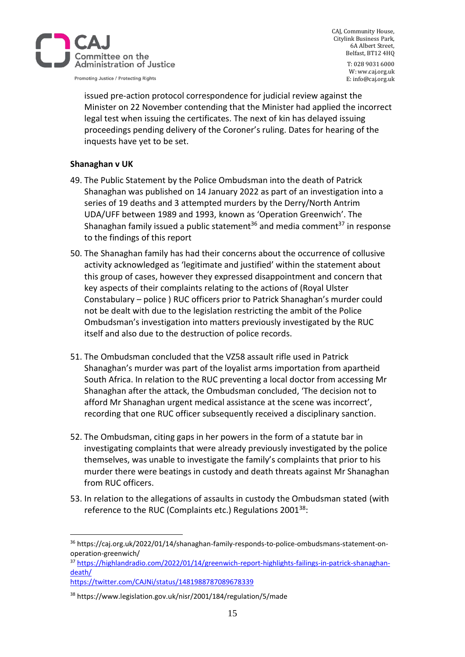

CAJ, Community House, Citylink Business Park, 6A Albert Street, Belfast, BT12 4HQ

> T: 028 9031 6000 W: ww.caj.org.uk E: info@caj.org.uk

issued pre-action protocol correspondence for judicial review against the Minister on 22 November contending that the Minister had applied the incorrect legal test when issuing the certificates. The next of kin has delayed issuing proceedings pending delivery of the Coroner's ruling. Dates for hearing of the inquests have yet to be set.

# **Shanaghan v UK**

- 49. The Public Statement by the Police Ombudsman into the death of Patrick Shanaghan was published on 14 January 2022 as part of an investigation into a series of 19 deaths and 3 attempted murders by the Derry/North Antrim UDA/UFF between 1989 and 1993, known as 'Operation Greenwich'. The Shanaghan family issued a public statement<sup>36</sup> and media comment<sup>37</sup> in response to the findings of this report
- 50. The Shanaghan family has had their concerns about the occurrence of collusive activity acknowledged as 'legitimate and justified' within the statement about this group of cases, however they expressed disappointment and concern that key aspects of their complaints relating to the actions of (Royal Ulster Constabulary – police ) RUC officers prior to Patrick Shanaghan's murder could not be dealt with due to the legislation restricting the ambit of the Police Ombudsman's investigation into matters previously investigated by the RUC itself and also due to the destruction of police records.
- 51. The Ombudsman concluded that the VZ58 assault rifle used in Patrick Shanaghan's murder was part of the loyalist arms importation from apartheid South Africa. In relation to the RUC preventing a local doctor from accessing Mr Shanaghan after the attack, the Ombudsman concluded, 'The decision not to afford Mr Shanaghan urgent medical assistance at the scene was incorrect', recording that one RUC officer subsequently received a disciplinary sanction.
- 52. The Ombudsman, citing gaps in her powers in the form of a statute bar in investigating complaints that were already previously investigated by the police themselves, was unable to investigate the family's complaints that prior to his murder there were beatings in custody and death threats against Mr Shanaghan from RUC officers.
- 53. In relation to the allegations of assaults in custody the Ombudsman stated (with reference to the RUC (Complaints etc.) Regulations 2001<sup>38</sup>:

<sup>37</sup> [https://highlandradio.com/2022/01/14/greenwich-report-highlights-failings-in-patrick-shanaghan](https://highlandradio.com/2022/01/14/greenwich-report-highlights-failings-in-patrick-shanaghan-death/)[death/](https://highlandradio.com/2022/01/14/greenwich-report-highlights-failings-in-patrick-shanaghan-death/)

<sup>36</sup> https://caj.org.uk/2022/01/14/shanaghan-family-responds-to-police-ombudsmans-statement-onoperation-greenwich/

<https://twitter.com/CAJNi/status/1481988787089678339>

<sup>38</sup> https://www.legislation.gov.uk/nisr/2001/184/regulation/5/made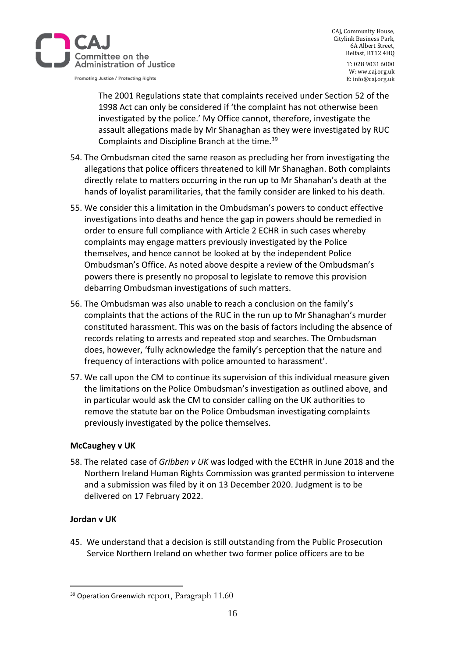

CAJ, Community House, Citylink Business Park, 6A Albert Street, Belfast, BT12 4HQ

> T: 028 9031 6000 W: ww.caj.org.uk E: info@caj.org.uk

The 2001 Regulations state that complaints received under Section 52 of the 1998 Act can only be considered if 'the complaint has not otherwise been investigated by the police.' My Office cannot, therefore, investigate the assault allegations made by Mr Shanaghan as they were investigated by RUC Complaints and Discipline Branch at the time.<sup>39</sup>

- 54. The Ombudsman cited the same reason as precluding her from investigating the allegations that police officers threatened to kill Mr Shanaghan. Both complaints directly relate to matters occurring in the run up to Mr Shanahan's death at the hands of loyalist paramilitaries, that the family consider are linked to his death.
- 55. We consider this a limitation in the Ombudsman's powers to conduct effective investigations into deaths and hence the gap in powers should be remedied in order to ensure full compliance with Article 2 ECHR in such cases whereby complaints may engage matters previously investigated by the Police themselves, and hence cannot be looked at by the independent Police Ombudsman's Office. As noted above despite a review of the Ombudsman's powers there is presently no proposal to legislate to remove this provision debarring Ombudsman investigations of such matters.
- 56. The Ombudsman was also unable to reach a conclusion on the family's complaints that the actions of the RUC in the run up to Mr Shanaghan's murder constituted harassment. This was on the basis of factors including the absence of records relating to arrests and repeated stop and searches. The Ombudsman does, however, 'fully acknowledge the family's perception that the nature and frequency of interactions with police amounted to harassment'.
- 57. We call upon the CM to continue its supervision of this individual measure given the limitations on the Police Ombudsman's investigation as outlined above, and in particular would ask the CM to consider calling on the UK authorities to remove the statute bar on the Police Ombudsman investigating complaints previously investigated by the police themselves.

# **McCaughey v UK**

58. The related case of *Gribben v UK* was lodged with the ECtHR in June 2018 and the Northern Ireland Human Rights Commission was granted permission to intervene and a submission was filed by it on 13 December 2020. Judgment is to be delivered on 17 February 2022.

# **Jordan v UK**

45. We understand that a decision is still outstanding from the Public Prosecution Service Northern Ireland on whether two former police officers are to be

<sup>&</sup>lt;sup>39</sup> Operation Greenwich report, Paragraph 11.60